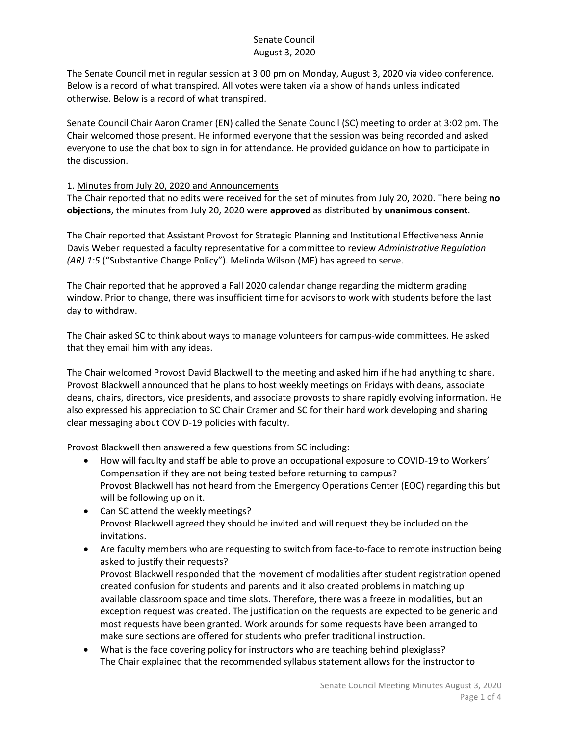The Senate Council met in regular session at 3:00 pm on Monday, August 3, 2020 via video conference. Below is a record of what transpired. All votes were taken via a show of hands unless indicated otherwise. Below is a record of what transpired.

Senate Council Chair Aaron Cramer (EN) called the Senate Council (SC) meeting to order at 3:02 pm. The Chair welcomed those present. He informed everyone that the session was being recorded and asked everyone to use the chat box to sign in for attendance. He provided guidance on how to participate in the discussion.

#### 1. Minutes from July 20, 2020 and Announcements

The Chair reported that no edits were received for the set of minutes from July 20, 2020. There being **no objections**, the minutes from July 20, 2020 were **approved** as distributed by **unanimous consent**.

The Chair reported that Assistant Provost for Strategic Planning and Institutional Effectiveness Annie Davis Weber requested a faculty representative for a committee to review *Administrative Regulation (AR) 1:5* ("Substantive Change Policy"). Melinda Wilson (ME) has agreed to serve.

The Chair reported that he approved a Fall 2020 calendar change regarding the midterm grading window. Prior to change, there was insufficient time for advisors to work with students before the last day to withdraw.

The Chair asked SC to think about ways to manage volunteers for campus-wide committees. He asked that they email him with any ideas.

The Chair welcomed Provost David Blackwell to the meeting and asked him if he had anything to share. Provost Blackwell announced that he plans to host weekly meetings on Fridays with deans, associate deans, chairs, directors, vice presidents, and associate provosts to share rapidly evolving information. He also expressed his appreciation to SC Chair Cramer and SC for their hard work developing and sharing clear messaging about COVID-19 policies with faculty.

Provost Blackwell then answered a few questions from SC including:

- How will faculty and staff be able to prove an occupational exposure to COVID-19 to Workers' Compensation if they are not being tested before returning to campus? Provost Blackwell has not heard from the Emergency Operations Center (EOC) regarding this but will be following up on it.
- Can SC attend the weekly meetings? Provost Blackwell agreed they should be invited and will request they be included on the invitations.
- Are faculty members who are requesting to switch from face-to-face to remote instruction being asked to justify their requests? Provost Blackwell responded that the movement of modalities after student registration opened created confusion for students and parents and it also created problems in matching up available classroom space and time slots. Therefore, there was a freeze in modalities, but an exception request was created. The justification on the requests are expected to be generic and most requests have been granted. Work arounds for some requests have been arranged to make sure sections are offered for students who prefer traditional instruction.
- What is the face covering policy for instructors who are teaching behind plexiglass? The Chair explained that the recommended syllabus statement allows for the instructor to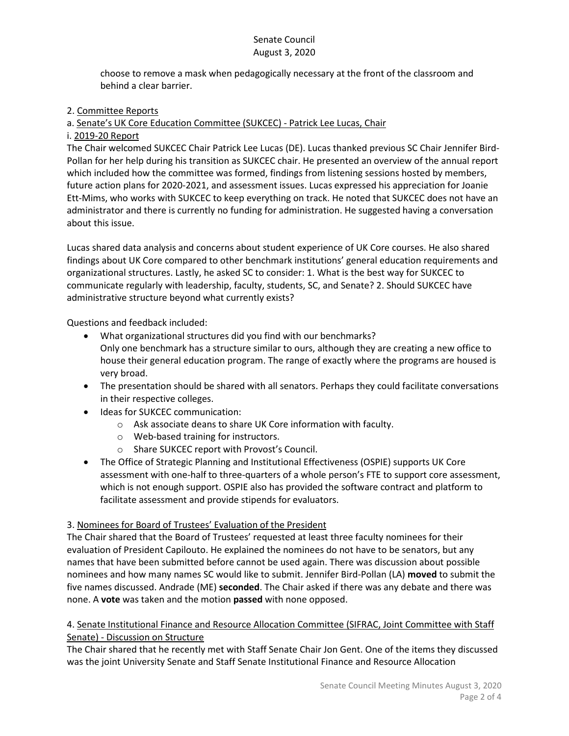choose to remove a mask when pedagogically necessary at the front of the classroom and behind a clear barrier.

### 2. Committee Reports

# a. Senate's UK Core Education Committee (SUKCEC) - Patrick Lee Lucas, Chair

## i. 2019-20 Report

The Chair welcomed SUKCEC Chair Patrick Lee Lucas (DE). Lucas thanked previous SC Chair Jennifer Bird-Pollan for her help during his transition as SUKCEC chair. He presented an overview of the annual report which included how the committee was formed, findings from listening sessions hosted by members, future action plans for 2020-2021, and assessment issues. Lucas expressed his appreciation for Joanie Ett-Mims, who works with SUKCEC to keep everything on track. He noted that SUKCEC does not have an administrator and there is currently no funding for administration. He suggested having a conversation about this issue.

Lucas shared data analysis and concerns about student experience of UK Core courses. He also shared findings about UK Core compared to other benchmark institutions' general education requirements and organizational structures. Lastly, he asked SC to consider: 1. What is the best way for SUKCEC to communicate regularly with leadership, faculty, students, SC, and Senate? 2. Should SUKCEC have administrative structure beyond what currently exists?

Questions and feedback included:

- What organizational structures did you find with our benchmarks? Only one benchmark has a structure similar to ours, although they are creating a new office to house their general education program. The range of exactly where the programs are housed is very broad.
- The presentation should be shared with all senators. Perhaps they could facilitate conversations in their respective colleges.
- Ideas for SUKCEC communication:
	- o Ask associate deans to share UK Core information with faculty.
	- o Web-based training for instructors.
	- o Share SUKCEC report with Provost's Council.
- The Office of Strategic Planning and Institutional Effectiveness (OSPIE) supports UK Core assessment with one-half to three-quarters of a whole person's FTE to support core assessment, which is not enough support. OSPIE also has provided the software contract and platform to facilitate assessment and provide stipends for evaluators.

### 3. Nominees for Board of Trustees' Evaluation of the President

The Chair shared that the Board of Trustees' requested at least three faculty nominees for their evaluation of President Capilouto. He explained the nominees do not have to be senators, but any names that have been submitted before cannot be used again. There was discussion about possible nominees and how many names SC would like to submit. Jennifer Bird-Pollan (LA) **moved** to submit the five names discussed. Andrade (ME) **seconded**. The Chair asked if there was any debate and there was none. A **vote** was taken and the motion **passed** with none opposed.

#### 4. Senate Institutional Finance and Resource Allocation Committee (SIFRAC, Joint Committee with Staff Senate) - Discussion on Structure

The Chair shared that he recently met with Staff Senate Chair Jon Gent. One of the items they discussed was the joint University Senate and Staff Senate Institutional Finance and Resource Allocation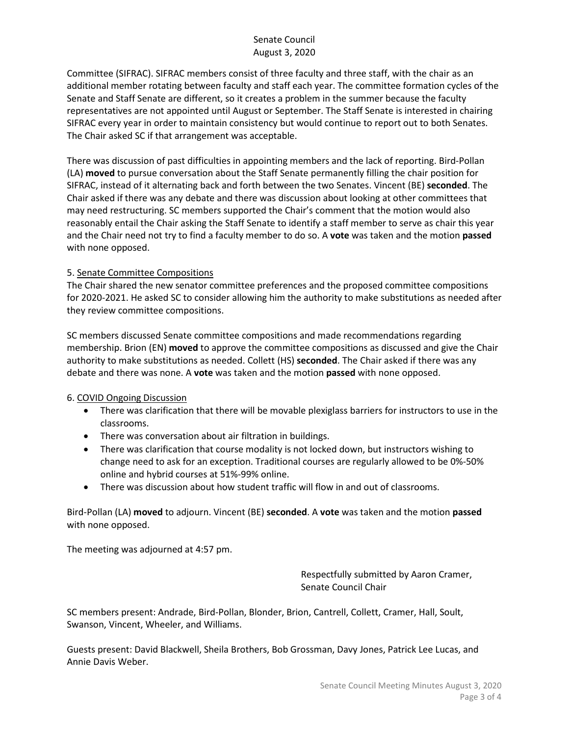Committee (SIFRAC). SIFRAC members consist of three faculty and three staff, with the chair as an additional member rotating between faculty and staff each year. The committee formation cycles of the Senate and Staff Senate are different, so it creates a problem in the summer because the faculty representatives are not appointed until August or September. The Staff Senate is interested in chairing SIFRAC every year in order to maintain consistency but would continue to report out to both Senates. The Chair asked SC if that arrangement was acceptable.

There was discussion of past difficulties in appointing members and the lack of reporting. Bird-Pollan (LA) **moved** to pursue conversation about the Staff Senate permanently filling the chair position for SIFRAC, instead of it alternating back and forth between the two Senates. Vincent (BE) **seconded**. The Chair asked if there was any debate and there was discussion about looking at other committees that may need restructuring. SC members supported the Chair's comment that the motion would also reasonably entail the Chair asking the Staff Senate to identify a staff member to serve as chair this year and the Chair need not try to find a faculty member to do so. A **vote** was taken and the motion **passed** with none opposed.

#### 5. Senate Committee Compositions

The Chair shared the new senator committee preferences and the proposed committee compositions for 2020-2021. He asked SC to consider allowing him the authority to make substitutions as needed after they review committee compositions.

SC members discussed Senate committee compositions and made recommendations regarding membership. Brion (EN) **moved** to approve the committee compositions as discussed and give the Chair authority to make substitutions as needed. Collett (HS) **seconded**. The Chair asked if there was any debate and there was none. A **vote** was taken and the motion **passed** with none opposed.

#### 6. COVID Ongoing Discussion

- There was clarification that there will be movable plexiglass barriers for instructors to use in the classrooms.
- There was conversation about air filtration in buildings.
- There was clarification that course modality is not locked down, but instructors wishing to change need to ask for an exception. Traditional courses are regularly allowed to be 0%-50% online and hybrid courses at 51%-99% online.
- There was discussion about how student traffic will flow in and out of classrooms.

Bird-Pollan (LA) **moved** to adjourn. Vincent (BE) **seconded**. A **vote** was taken and the motion **passed** with none opposed.

The meeting was adjourned at 4:57 pm.

Respectfully submitted by Aaron Cramer, Senate Council Chair

SC members present: Andrade, Bird-Pollan, Blonder, Brion, Cantrell, Collett, Cramer, Hall, Soult, Swanson, Vincent, Wheeler, and Williams.

Guests present: David Blackwell, Sheila Brothers, Bob Grossman, Davy Jones, Patrick Lee Lucas, and Annie Davis Weber.